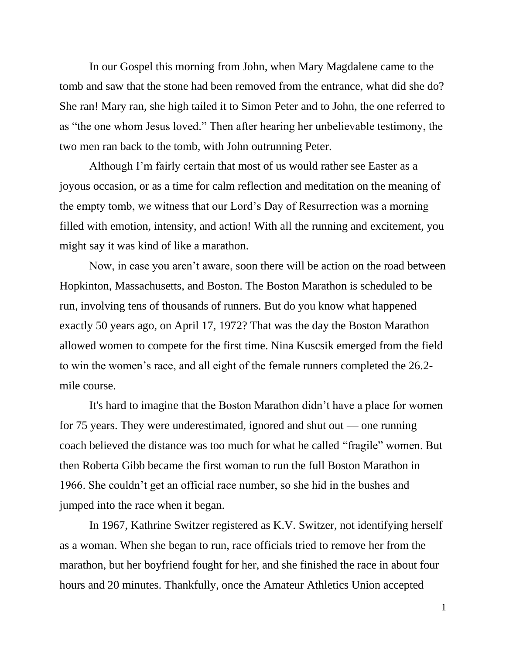In our Gospel this morning from John, when Mary Magdalene came to the tomb and saw that the stone had been removed from the entrance, what did she do? She ran! Mary ran, she high tailed it to Simon Peter and to John, the one referred to as "the one whom Jesus loved." Then after hearing her unbelievable testimony, the two men ran back to the tomb, with John outrunning Peter.

Although I'm fairly certain that most of us would rather see Easter as a joyous occasion, or as a time for calm reflection and meditation on the meaning of the empty tomb, we witness that our Lord's Day of Resurrection was a morning filled with emotion, intensity, and action! With all the running and excitement, you might say it was kind of like a marathon.

Now, in case you aren't aware, soon there will be action on the road between Hopkinton, Massachusetts, and Boston. The Boston Marathon is scheduled to be run, involving tens of thousands of runners. But do you know what happened exactly 50 years ago, on April 17, 1972? That was the day the Boston Marathon allowed women to compete for the first time. Nina Kuscsik emerged from the field to win the women's race, and all eight of the female runners completed the 26.2 mile course.

It's hard to imagine that the Boston Marathon didn't have a place for women for 75 years. They were underestimated, ignored and shut out — one running coach believed the distance was too much for what he called "fragile" women. But then Roberta Gibb became the first woman to run the full Boston Marathon in 1966. She couldn't get an official race number, so she hid in the bushes and jumped into the race when it began.

In 1967, Kathrine Switzer registered as K.V. Switzer, not identifying herself as a woman. When she began to run, race officials tried to remove her from the marathon, but her boyfriend fought for her, and she finished the race in about four hours and 20 minutes. Thankfully, once the Amateur Athletics Union accepted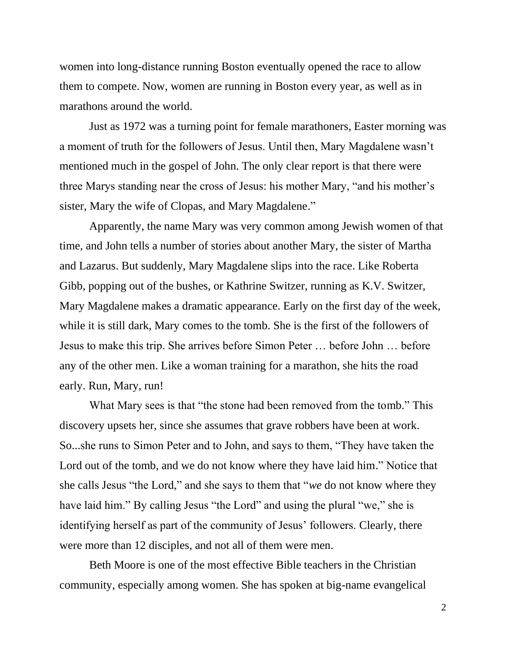women into long-distance running Boston eventually opened the race to allow them to compete. Now, women are running in Boston every year, as well as in marathons around the world.

Just as 1972 was a turning point for female marathoners, Easter morning was a moment of truth for the followers of Jesus. Until then, Mary Magdalene wasn't mentioned much in the gospel of John. The only clear report is that there were three Marys standing near the cross of Jesus: his mother Mary, "and his mother's sister, Mary the wife of Clopas, and Mary Magdalene."

Apparently, the name Mary was very common among Jewish women of that time, and John tells a number of stories about another Mary, the sister of Martha and Lazarus. But suddenly, Mary Magdalene slips into the race. Like Roberta Gibb, popping out of the bushes, or Kathrine Switzer, running as K.V. Switzer, Mary Magdalene makes a dramatic appearance. Early on the first day of the week, while it is still dark, Mary comes to the tomb. She is the first of the followers of Jesus to make this trip. She arrives before Simon Peter … before John … before any of the other men. Like a woman training for a marathon, she hits the road early. Run, Mary, run!

What Mary sees is that "the stone had been removed from the tomb." This discovery upsets her, since she assumes that grave robbers have been at work. So...she runs to Simon Peter and to John, and says to them, "They have taken the Lord out of the tomb, and we do not know where they have laid him." Notice that she calls Jesus "the Lord," and she says to them that "*we* do not know where they have laid him." By calling Jesus "the Lord" and using the plural "we," she is identifying herself as part of the community of Jesus' followers. Clearly, there were more than 12 disciples, and not all of them were men.

Beth Moore is one of the most effective Bible teachers in the Christian community, especially among women. She has spoken at big-name evangelical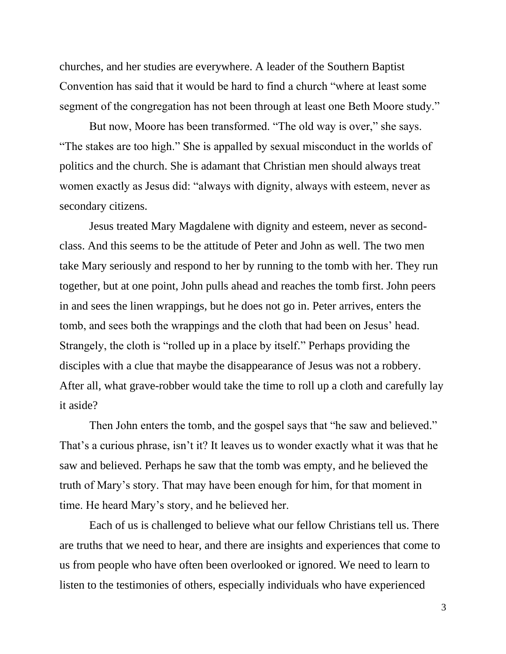churches, and her studies are everywhere. A leader of the Southern Baptist Convention has said that it would be hard to find a church "where at least some segment of the congregation has not been through at least one Beth Moore study."

But now, Moore has been transformed. "The old way is over," she says. "The stakes are too high." She is appalled by sexual misconduct in the worlds of politics and the church. She is adamant that Christian men should always treat women exactly as Jesus did: "always with dignity, always with esteem, never as secondary citizens.

Jesus treated Mary Magdalene with dignity and esteem, never as secondclass. And this seems to be the attitude of Peter and John as well. The two men take Mary seriously and respond to her by running to the tomb with her. They run together, but at one point, John pulls ahead and reaches the tomb first. John peers in and sees the linen wrappings, but he does not go in. Peter arrives, enters the tomb, and sees both the wrappings and the cloth that had been on Jesus' head. Strangely, the cloth is "rolled up in a place by itself." Perhaps providing the disciples with a clue that maybe the disappearance of Jesus was not a robbery. After all, what grave-robber would take the time to roll up a cloth and carefully lay it aside?

Then John enters the tomb, and the gospel says that "he saw and believed." That's a curious phrase, isn't it? It leaves us to wonder exactly what it was that he saw and believed. Perhaps he saw that the tomb was empty, and he believed the truth of Mary's story. That may have been enough for him, for that moment in time. He heard Mary's story, and he believed her.

Each of us is challenged to believe what our fellow Christians tell us. There are truths that we need to hear, and there are insights and experiences that come to us from people who have often been overlooked or ignored. We need to learn to listen to the testimonies of others, especially individuals who have experienced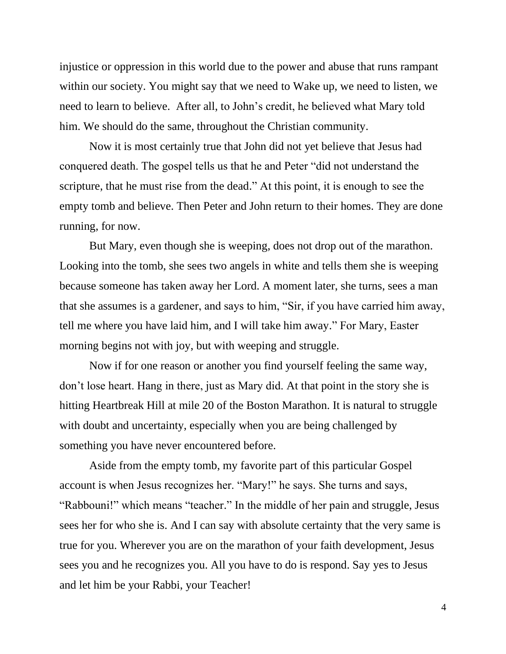injustice or oppression in this world due to the power and abuse that runs rampant within our society. You might say that we need to Wake up, we need to listen, we need to learn to believe. After all, to John's credit, he believed what Mary told him. We should do the same, throughout the Christian community.

Now it is most certainly true that John did not yet believe that Jesus had conquered death. The gospel tells us that he and Peter "did not understand the scripture, that he must rise from the dead." At this point, it is enough to see the empty tomb and believe. Then Peter and John return to their homes. They are done running, for now.

But Mary, even though she is weeping, does not drop out of the marathon. Looking into the tomb, she sees two angels in white and tells them she is weeping because someone has taken away her Lord. A moment later, she turns, sees a man that she assumes is a gardener, and says to him, "Sir, if you have carried him away, tell me where you have laid him, and I will take him away." For Mary, Easter morning begins not with joy, but with weeping and struggle.

Now if for one reason or another you find yourself feeling the same way, don't lose heart. Hang in there, just as Mary did. At that point in the story she is hitting Heartbreak Hill at mile 20 of the Boston Marathon. It is natural to struggle with doubt and uncertainty, especially when you are being challenged by something you have never encountered before.

Aside from the empty tomb, my favorite part of this particular Gospel account is when Jesus recognizes her. "Mary!" he says. She turns and says, "Rabbouni!" which means "teacher." In the middle of her pain and struggle, Jesus sees her for who she is. And I can say with absolute certainty that the very same is true for you. Wherever you are on the marathon of your faith development, Jesus sees you and he recognizes you. All you have to do is respond. Say yes to Jesus and let him be your Rabbi, your Teacher!